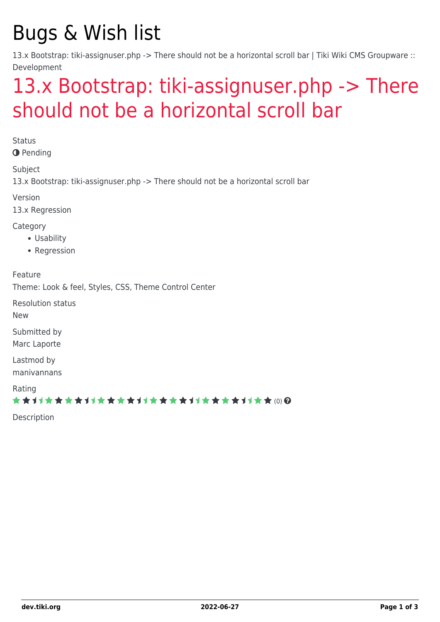## Bugs & Wish list

13.x Bootstrap: tiki-assignuser.php -> There should not be a horizontal scroll bar | Tiki Wiki CMS Groupware :: Development

## [13.x Bootstrap: tiki-assignuser.php -> There](https://dev.tiki.org/item5437-13-x-Bootstrap-tiki-assignuser-php-There-should-not-be-a-horizontal-scroll-bar) [should not be a horizontal scroll bar](https://dev.tiki.org/item5437-13-x-Bootstrap-tiki-assignuser-php-There-should-not-be-a-horizontal-scroll-bar)

**Status O** Pending

Subject

13.x Bootstrap: tiki-assignuser.php -> There should not be a horizontal scroll bar

Version

13.x Regression

Category

- Usability
- Regression

Feature

Theme: Look & feel, Styles, CSS, Theme Control Center

Resolution status

New

Submitted by Marc Laporte

Lastmod by manivannans

Rating

\*\*\*\*\*\*\*\*\*\*\*\*\*\*\*\*\*\*\*\*\*\*\*\*\*\*\*\*\*\*

Description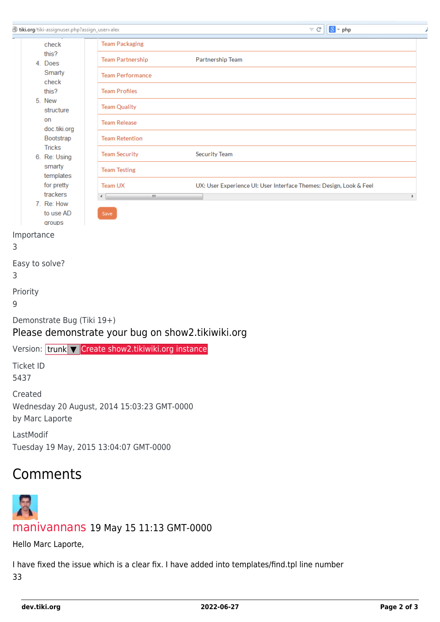| tiki.org/tiki-assignuser.php?assign_user=alex |                                                     |                                                                    | $\vee$ G | $\boxed{8}$ = php |    |
|-----------------------------------------------|-----------------------------------------------------|--------------------------------------------------------------------|----------|-------------------|----|
| check                                         | <b>Team Packaging</b>                               |                                                                    |          |                   |    |
| this?                                         | <b>Team Partnership</b>                             | Partnership Team                                                   |          |                   |    |
| 4. Does<br>Smarty                             | <b>Team Performance</b>                             |                                                                    |          |                   |    |
| check                                         |                                                     |                                                                    |          |                   |    |
| this?<br>5. New                               | <b>Team Profiles</b>                                |                                                                    |          |                   |    |
| structure                                     | <b>Team Quality</b>                                 |                                                                    |          |                   |    |
| on<br>doc.tiki.org                            | <b>Team Release</b>                                 |                                                                    |          |                   |    |
| Bootstrap                                     | <b>Team Retention</b>                               |                                                                    |          |                   |    |
| <b>Tricks</b><br>6. Re: Using                 | <b>Team Security</b>                                | <b>Security Team</b>                                               |          |                   |    |
| smarty                                        | <b>Team Testing</b>                                 |                                                                    |          |                   |    |
| templates<br>for pretty                       | <b>Team UX</b>                                      | UX: User Experience UI: User Interface Themes: Design, Look & Feel |          |                   |    |
| trackers                                      | $\mathbf{H}$<br>€                                   |                                                                    |          |                   | Þ. |
| 7. Re: How<br>to use AD                       | Save                                                |                                                                    |          |                   |    |
| groups                                        |                                                     |                                                                    |          |                   |    |
| Importance                                    |                                                     |                                                                    |          |                   |    |
| 3                                             |                                                     |                                                                    |          |                   |    |
| Easy to solve?                                |                                                     |                                                                    |          |                   |    |
| 3                                             |                                                     |                                                                    |          |                   |    |
| Priority                                      |                                                     |                                                                    |          |                   |    |
| 9                                             |                                                     |                                                                    |          |                   |    |
| Demonstrate Bug (Tiki 19+)                    | Please demonstrate your bug on show2.tikiwiki.org   |                                                                    |          |                   |    |
|                                               | Version: trunk V Create show2.tikiwiki.org instance |                                                                    |          |                   |    |
| <b>Ticket ID</b>                              |                                                     |                                                                    |          |                   |    |
| 5437                                          |                                                     |                                                                    |          |                   |    |
| Created                                       |                                                     |                                                                    |          |                   |    |
|                                               | Wednesday 20 August, 2014 15:03:23 GMT-0000         |                                                                    |          |                   |    |
| by Marc Laporte                               |                                                     |                                                                    |          |                   |    |
| LastModif                                     |                                                     |                                                                    |          |                   |    |
|                                               | Tuesday 19 May, 2015 13:04:07 GMT-0000              |                                                                    |          |                   |    |
|                                               |                                                     |                                                                    |          |                   |    |
| Comments                                      |                                                     |                                                                    |          |                   |    |
|                                               |                                                     |                                                                    |          |                   |    |
|                                               |                                                     |                                                                    |          |                   |    |

## [manivannans](https://dev.tiki.org/user11621) 19 May 15 11:13 GMT-0000

Hello Marc Laporte,

I have fixed the issue which is a clear fix. I have added into templates/find.tpl line number 33

P